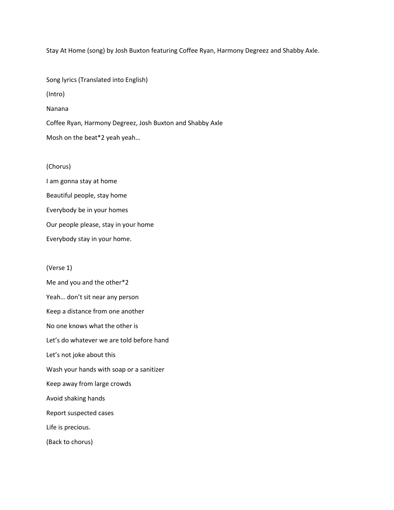Stay At Home (song) by Josh Buxton featuring Coffee Ryan, Harmony Degreez and Shabby Axle.

Song lyrics (Translated into English) (Intro) Nanana Coffee Ryan, Harmony Degreez, Josh Buxton and Shabby Axle Mosh on the beat\*2 yeah yeah…

## (Chorus)

I am gonna stay at home Beautiful people, stay home Everybody be in your homes Our people please, stay in your home Everybody stay in your home.

## (Verse 1)

Me and you and the other\*2 Yeah… don't sit near any person Keep a distance from one another No one knows what the other is Let's do whatever we are told before hand Let's not joke about this Wash your hands with soap or a sanitizer Keep away from large crowds Avoid shaking hands Report suspected cases Life is precious. (Back to chorus)